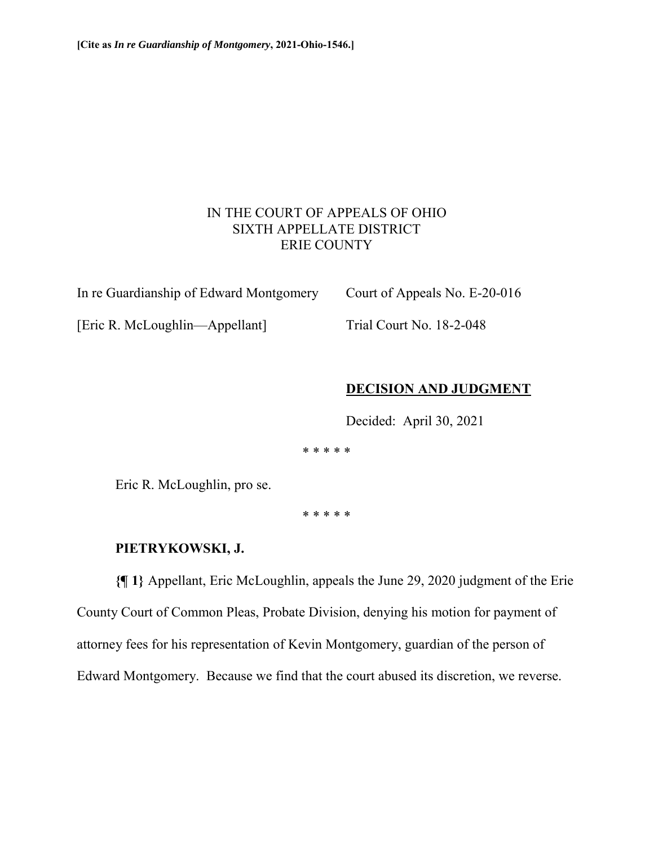## IN THE COURT OF APPEALS OF OHIO SIXTH APPELLATE DISTRICT ERIE COUNTY

In re Guardianship of Edward Montgomery Court of Appeals No. E-20-016

[Eric R. McLoughlin—Appellant] Trial Court No. 18-2-048

## **DECISION AND JUDGMENT**

Decided: April 30, 2021

\* \* \* \* \*

Eric R. McLoughlin, pro se.

\* \* \* \* \*

## **PIETRYKOWSKI, J.**

**{¶ 1}** Appellant, Eric McLoughlin, appeals the June 29, 2020 judgment of the Erie County Court of Common Pleas, Probate Division, denying his motion for payment of attorney fees for his representation of Kevin Montgomery, guardian of the person of Edward Montgomery. Because we find that the court abused its discretion, we reverse.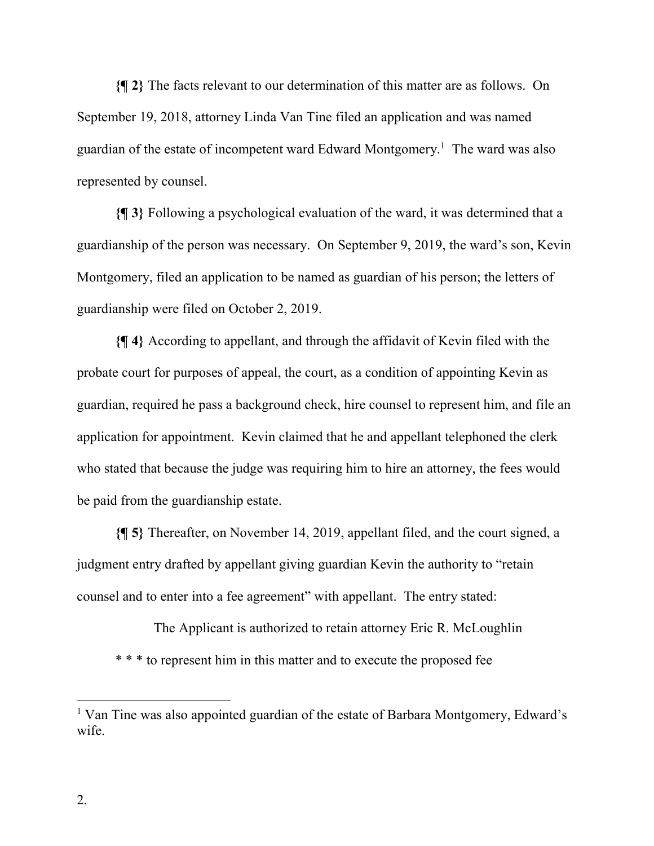**{¶ 2}** The facts relevant to our determination of this matter are as follows. On September 19, 2018, attorney Linda Van Tine filed an application and was named guardian of the estate of incompetent ward Edward Montgomery.<sup>1</sup> The ward was also represented by counsel.

**{¶ 3}** Following a psychological evaluation of the ward, it was determined that a guardianship of the person was necessary. On September 9, 2019, the ward's son, Kevin Montgomery, filed an application to be named as guardian of his person; the letters of guardianship were filed on October 2, 2019.

**{¶ 4}** According to appellant, and through the affidavit of Kevin filed with the probate court for purposes of appeal, the court, as a condition of appointing Kevin as guardian, required he pass a background check, hire counsel to represent him, and file an application for appointment. Kevin claimed that he and appellant telephoned the clerk who stated that because the judge was requiring him to hire an attorney, the fees would be paid from the guardianship estate.

**{¶ 5}** Thereafter, on November 14, 2019, appellant filed, and the court signed, a judgment entry drafted by appellant giving guardian Kevin the authority to "retain counsel and to enter into a fee agreement" with appellant. The entry stated:

The Applicant is authorized to retain attorney Eric R. McLoughlin \* \* \* to represent him in this matter and to execute the proposed fee

 $\overline{a}$ 

<sup>&</sup>lt;sup>1</sup> Van Tine was also appointed guardian of the estate of Barbara Montgomery, Edward's wife.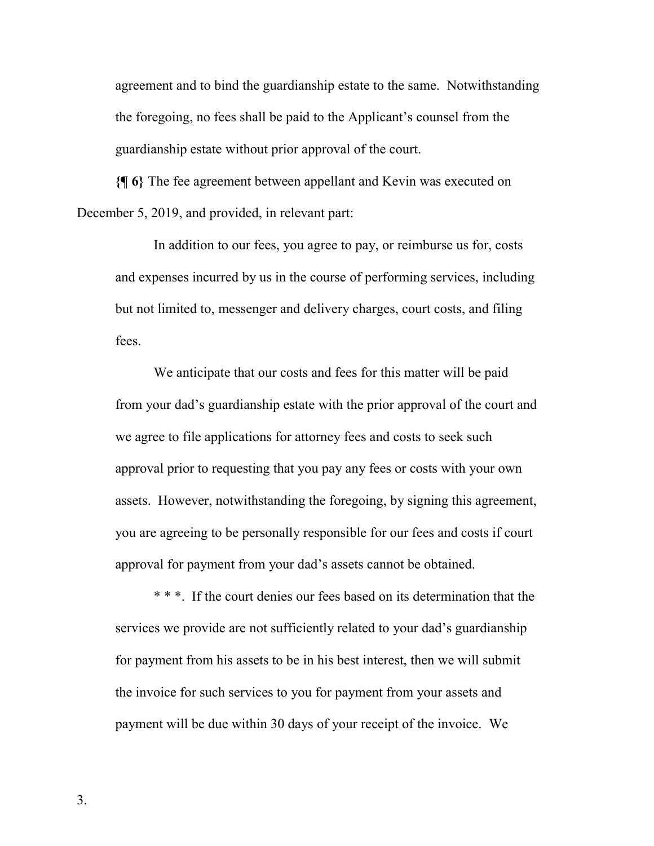agreement and to bind the guardianship estate to the same. Notwithstanding the foregoing, no fees shall be paid to the Applicant's counsel from the guardianship estate without prior approval of the court.

**{¶ 6}** The fee agreement between appellant and Kevin was executed on December 5, 2019, and provided, in relevant part:

In addition to our fees, you agree to pay, or reimburse us for, costs and expenses incurred by us in the course of performing services, including but not limited to, messenger and delivery charges, court costs, and filing fees.

We anticipate that our costs and fees for this matter will be paid from your dad's guardianship estate with the prior approval of the court and we agree to file applications for attorney fees and costs to seek such approval prior to requesting that you pay any fees or costs with your own assets. However, notwithstanding the foregoing, by signing this agreement, you are agreeing to be personally responsible for our fees and costs if court approval for payment from your dad's assets cannot be obtained.

\* \* \*. If the court denies our fees based on its determination that the services we provide are not sufficiently related to your dad's guardianship for payment from his assets to be in his best interest, then we will submit the invoice for such services to you for payment from your assets and payment will be due within 30 days of your receipt of the invoice. We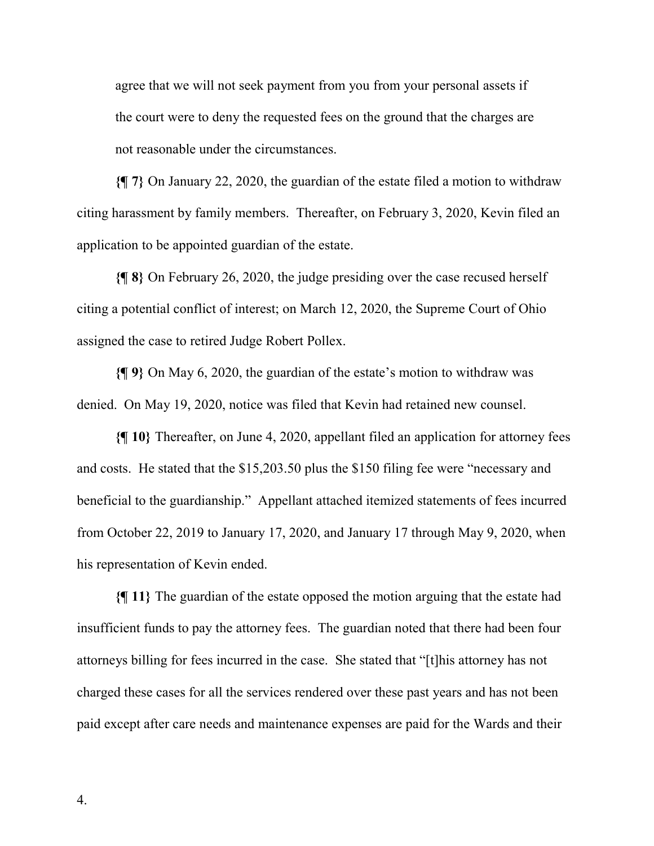agree that we will not seek payment from you from your personal assets if the court were to deny the requested fees on the ground that the charges are not reasonable under the circumstances.

**{¶ 7}** On January 22, 2020, the guardian of the estate filed a motion to withdraw citing harassment by family members. Thereafter, on February 3, 2020, Kevin filed an application to be appointed guardian of the estate.

**{¶ 8}** On February 26, 2020, the judge presiding over the case recused herself citing a potential conflict of interest; on March 12, 2020, the Supreme Court of Ohio assigned the case to retired Judge Robert Pollex.

**{¶ 9}** On May 6, 2020, the guardian of the estate's motion to withdraw was denied. On May 19, 2020, notice was filed that Kevin had retained new counsel.

**{¶ 10}** Thereafter, on June 4, 2020, appellant filed an application for attorney fees and costs. He stated that the \$15,203.50 plus the \$150 filing fee were "necessary and beneficial to the guardianship." Appellant attached itemized statements of fees incurred from October 22, 2019 to January 17, 2020, and January 17 through May 9, 2020, when his representation of Kevin ended.

**{¶ 11}** The guardian of the estate opposed the motion arguing that the estate had insufficient funds to pay the attorney fees. The guardian noted that there had been four attorneys billing for fees incurred in the case. She stated that "[t]his attorney has not charged these cases for all the services rendered over these past years and has not been paid except after care needs and maintenance expenses are paid for the Wards and their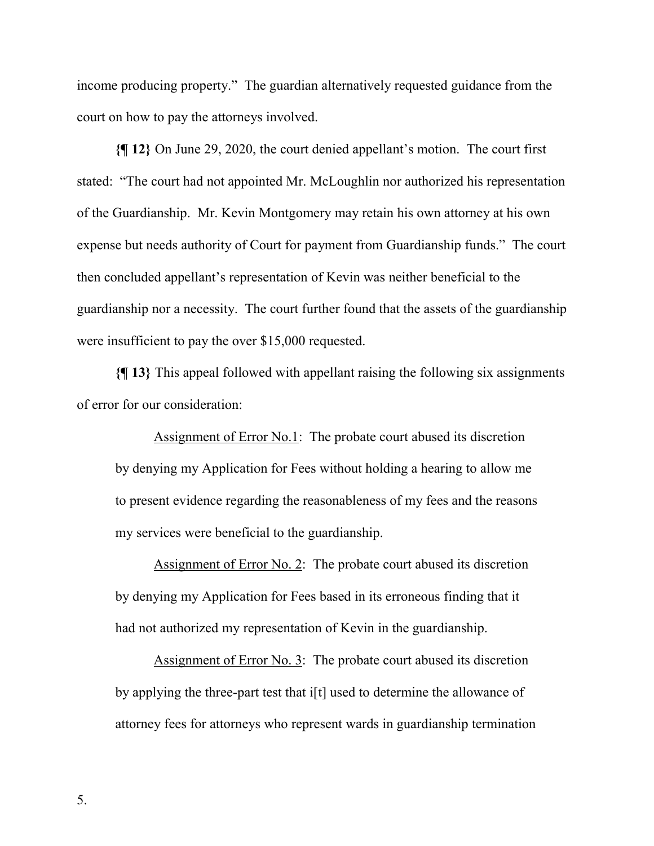income producing property." The guardian alternatively requested guidance from the court on how to pay the attorneys involved.

**{¶ 12}** On June 29, 2020, the court denied appellant's motion. The court first stated: "The court had not appointed Mr. McLoughlin nor authorized his representation of the Guardianship. Mr. Kevin Montgomery may retain his own attorney at his own expense but needs authority of Court for payment from Guardianship funds." The court then concluded appellant's representation of Kevin was neither beneficial to the guardianship nor a necessity. The court further found that the assets of the guardianship were insufficient to pay the over \$15,000 requested.

**{¶ 13}** This appeal followed with appellant raising the following six assignments of error for our consideration:

Assignment of Error No.1: The probate court abused its discretion by denying my Application for Fees without holding a hearing to allow me to present evidence regarding the reasonableness of my fees and the reasons my services were beneficial to the guardianship.

Assignment of Error No. 2: The probate court abused its discretion by denying my Application for Fees based in its erroneous finding that it had not authorized my representation of Kevin in the guardianship.

Assignment of Error No. 3: The probate court abused its discretion by applying the three-part test that i[t] used to determine the allowance of attorney fees for attorneys who represent wards in guardianship termination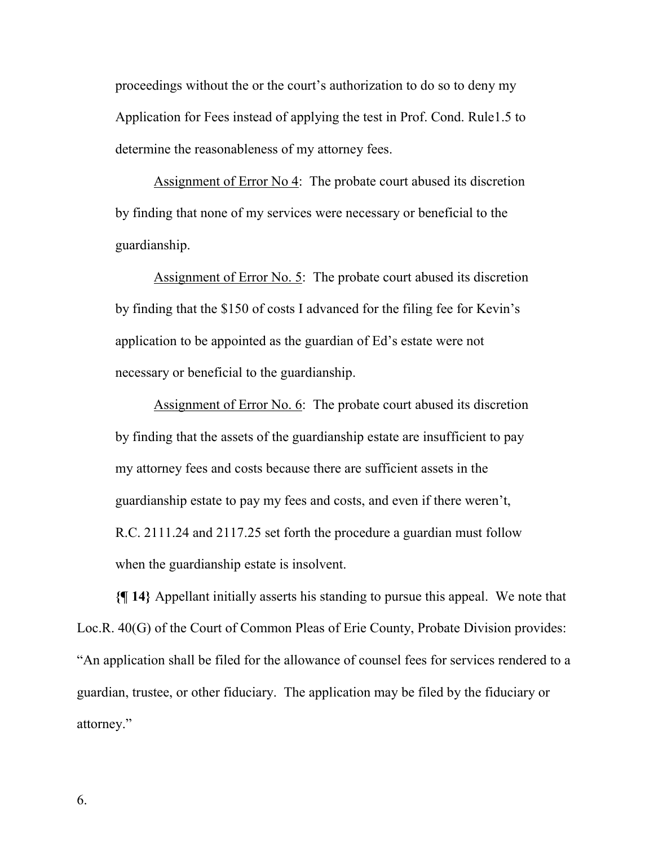proceedings without the or the court's authorization to do so to deny my Application for Fees instead of applying the test in Prof. Cond. Rule1.5 to determine the reasonableness of my attorney fees.

Assignment of Error No 4: The probate court abused its discretion by finding that none of my services were necessary or beneficial to the guardianship.

Assignment of Error No. 5: The probate court abused its discretion by finding that the \$150 of costs I advanced for the filing fee for Kevin's application to be appointed as the guardian of Ed's estate were not necessary or beneficial to the guardianship.

Assignment of Error No. 6: The probate court abused its discretion by finding that the assets of the guardianship estate are insufficient to pay my attorney fees and costs because there are sufficient assets in the guardianship estate to pay my fees and costs, and even if there weren't, R.C. 2111.24 and 2117.25 set forth the procedure a guardian must follow when the guardianship estate is insolvent.

**{¶ 14}** Appellant initially asserts his standing to pursue this appeal. We note that Loc.R. 40(G) of the Court of Common Pleas of Erie County, Probate Division provides: "An application shall be filed for the allowance of counsel fees for services rendered to a guardian, trustee, or other fiduciary. The application may be filed by the fiduciary or attorney."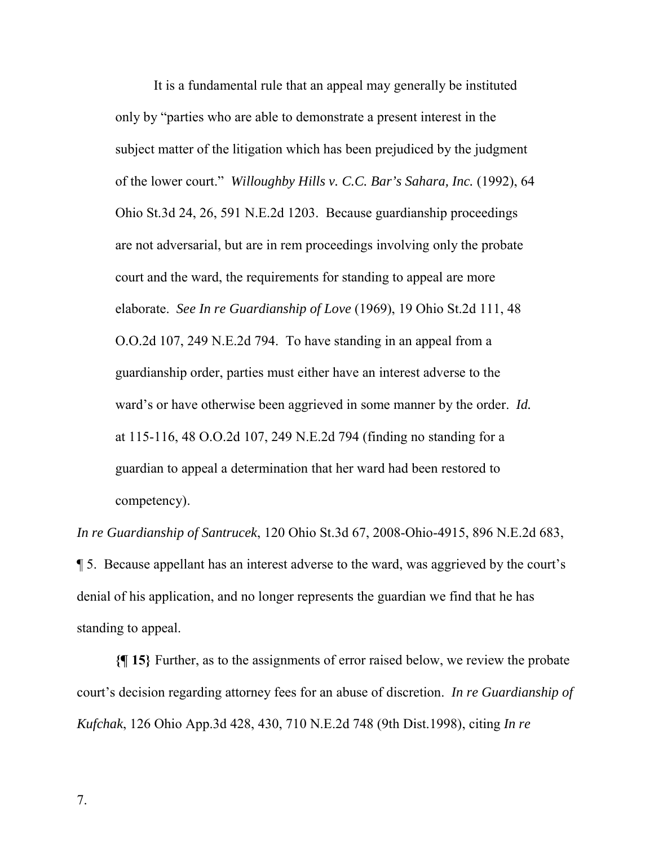It is a fundamental rule that an appeal may generally be instituted only by "parties who are able to demonstrate a present interest in the subject matter of the litigation which has been prejudiced by the judgment of the lower court." *Willoughby Hills v. C.C. Bar's Sahara, Inc.* (1992), 64 Ohio St.3d 24, 26, 591 N.E.2d 1203. Because guardianship proceedings are not adversarial, but are in rem proceedings involving only the probate court and the ward, the requirements for standing to appeal are more elaborate. *See In re Guardianship of Love* (1969), 19 Ohio St.2d 111, 48 O.O.2d 107, 249 N.E.2d 794. To have standing in an appeal from a guardianship order, parties must either have an interest adverse to the ward's or have otherwise been aggrieved in some manner by the order. *Id.* at 115-116, 48 O.O.2d 107, 249 N.E.2d 794 (finding no standing for a guardian to appeal a determination that her ward had been restored to competency).

*In re Guardianship of Santrucek*, 120 Ohio St.3d 67, 2008-Ohio-4915, 896 N.E.2d 683,

¶ 5. Because appellant has an interest adverse to the ward, was aggrieved by the court's denial of his application, and no longer represents the guardian we find that he has standing to appeal.

**{¶ 15}** Further, as to the assignments of error raised below, we review the probate court's decision regarding attorney fees for an abuse of discretion. *In re Guardianship of Kufchak*, 126 Ohio App.3d 428, 430, 710 N.E.2d 748 (9th Dist.1998), citing *In re*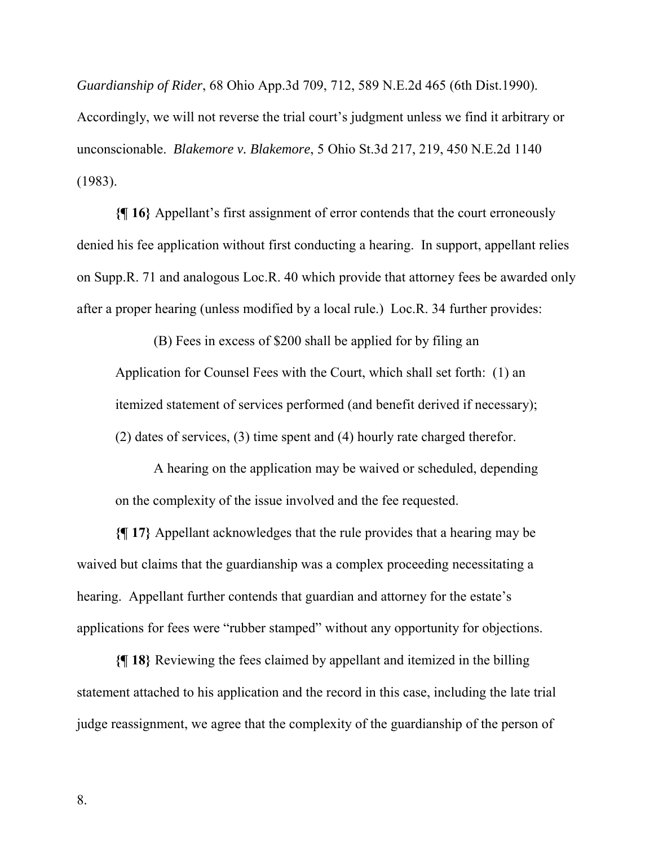*Guardianship of Rider*, 68 Ohio App.3d 709, 712, 589 N.E.2d 465 (6th Dist.1990). Accordingly, we will not reverse the trial court's judgment unless we find it arbitrary or unconscionable. *Blakemore v. Blakemore*, 5 Ohio St.3d 217, 219, 450 N.E.2d 1140 (1983).

**{¶ 16}** Appellant's first assignment of error contends that the court erroneously denied his fee application without first conducting a hearing. In support, appellant relies on Supp.R. 71 and analogous Loc.R. 40 which provide that attorney fees be awarded only after a proper hearing (unless modified by a local rule.) Loc.R. 34 further provides:

(B) Fees in excess of \$200 shall be applied for by filing an Application for Counsel Fees with the Court, which shall set forth: (1) an itemized statement of services performed (and benefit derived if necessary); (2) dates of services, (3) time spent and (4) hourly rate charged therefor.

A hearing on the application may be waived or scheduled, depending on the complexity of the issue involved and the fee requested.

**{¶ 17}** Appellant acknowledges that the rule provides that a hearing may be waived but claims that the guardianship was a complex proceeding necessitating a hearing. Appellant further contends that guardian and attorney for the estate's applications for fees were "rubber stamped" without any opportunity for objections.

**{¶ 18}** Reviewing the fees claimed by appellant and itemized in the billing statement attached to his application and the record in this case, including the late trial judge reassignment, we agree that the complexity of the guardianship of the person of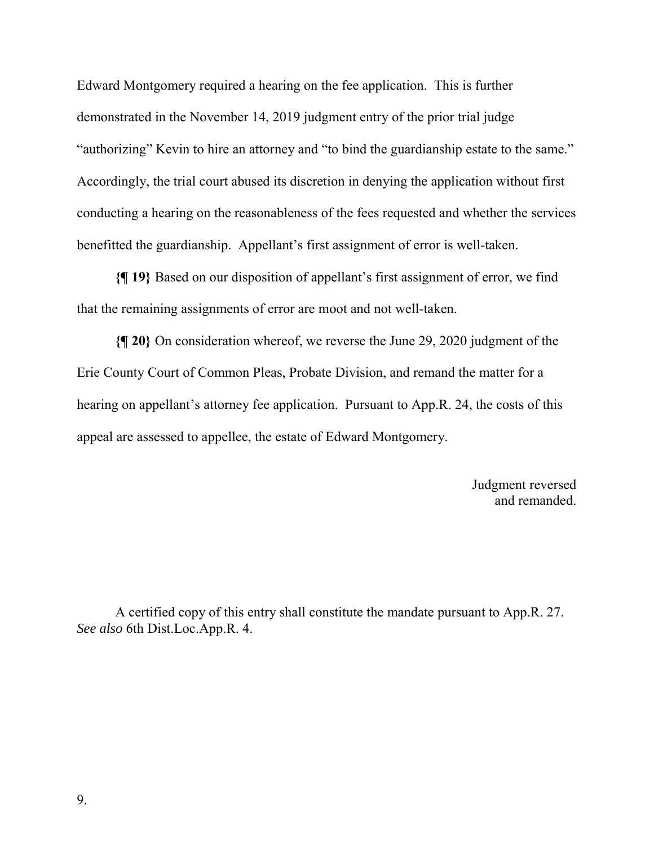Edward Montgomery required a hearing on the fee application. This is further demonstrated in the November 14, 2019 judgment entry of the prior trial judge "authorizing" Kevin to hire an attorney and "to bind the guardianship estate to the same." Accordingly, the trial court abused its discretion in denying the application without first conducting a hearing on the reasonableness of the fees requested and whether the services benefitted the guardianship. Appellant's first assignment of error is well-taken.

**{¶ 19}** Based on our disposition of appellant's first assignment of error, we find that the remaining assignments of error are moot and not well-taken.

**{¶ 20}** On consideration whereof, we reverse the June 29, 2020 judgment of the Erie County Court of Common Pleas, Probate Division, and remand the matter for a hearing on appellant's attorney fee application. Pursuant to App.R. 24, the costs of this appeal are assessed to appellee, the estate of Edward Montgomery.

> Judgment reversed and remanded.

A certified copy of this entry shall constitute the mandate pursuant to App.R. 27. *See also* 6th Dist.Loc.App.R. 4.